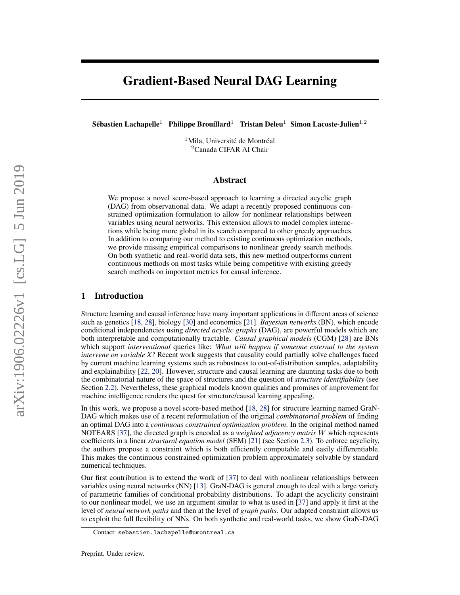# Gradient-Based Neural DAG Learning

Sébastien Lachapelle<sup>1</sup> Philippe Brouillard<sup>1</sup> Tristan Deleu<sup>1</sup> Simon Lacoste-Julien<sup>1,2</sup>

<sup>1</sup>Mila, Université de Montréal <sup>2</sup>Canada CIFAR AI Chair

# Abstract

We propose a novel score-based approach to learning a directed acyclic graph (DAG) from observational data. We adapt a recently proposed continuous constrained optimization formulation to allow for nonlinear relationships between variables using neural networks. This extension allows to model complex interactions while being more global in its search compared to other greedy approaches. In addition to comparing our method to existing continuous optimization methods, we provide missing empirical comparisons to nonlinear greedy search methods. On both synthetic and real-world data sets, this new method outperforms current continuous methods on most tasks while being competitive with existing greedy search methods on important metrics for causal inference[.](#page-0-0)

# 1 Introduction

Structure learning and causal inference have many important applications in different areas of science such as genetics [\[18,](#page-8-0) [28\]](#page-9-0), biology [\[30\]](#page-9-1) and economics [\[21\]](#page-9-2). *Bayesian networks* (BN), which encode conditional independencies using *directed acyclic graphs* (DAG), are powerful models which are both interpretable and computationally tractable. *Causal graphical models* (CGM) [\[28\]](#page-9-0) are BNs which support *interventional* queries like: *What will happen if someone external to the system intervene on variable X?* Recent work suggests that causality could partially solve challenges faced by current machine learning systems such as robustness to out-of-distribution samples, adaptability and explainability [\[22,](#page-9-3) [20\]](#page-9-4). However, structure and causal learning are daunting tasks due to both the combinatorial nature of the space of structures and the question of *structure identifiability* (see Section [2.2\)](#page-1-0). Nevertheless, these graphical models known qualities and promises of improvement for machine intelligence renders the quest for structure/causal learning appealing.

In this work, we propose a novel score-based method [\[18,](#page-8-0) [28\]](#page-9-0) for structure learning named GraN-DAG which makes use of a recent reformulation of the original *combinatorial problem* of finding an optimal DAG into a *continuous constrained optimization problem*. In the original method named NOTEARS [\[37\]](#page-9-5), the directed graph is encoded as a *weighted adjacency matrix* W which represents coefficients in a linear *structural equation model* (SEM) [\[21\]](#page-9-2) (see Section [2.3\)](#page-1-1). To enforce acyclicity, the authors propose a constraint which is both efficiently computable and easily differentiable. This makes the continuous constrained optimization problem approximately solvable by standard numerical techniques.

Our first contribution is to extend the work of [\[37\]](#page-9-5) to deal with nonlinear relationships between variables using neural networks (NN) [\[13\]](#page-8-1). GraN-DAG is general enough to deal with a large variety of parametric families of conditional probability distributions. To adapt the acyclicity constraint to our nonlinear model, we use an argument similar to what is used in [\[37\]](#page-9-5) and apply it first at the level of *neural network paths* and then at the level of *graph paths*. Our adapted constraint allows us to exploit the full flexibility of NNs. On both synthetic and real-world tasks, we show GraN-DAG

<span id="page-0-0"></span>Contact: sebastien.lachapelle@umontreal.ca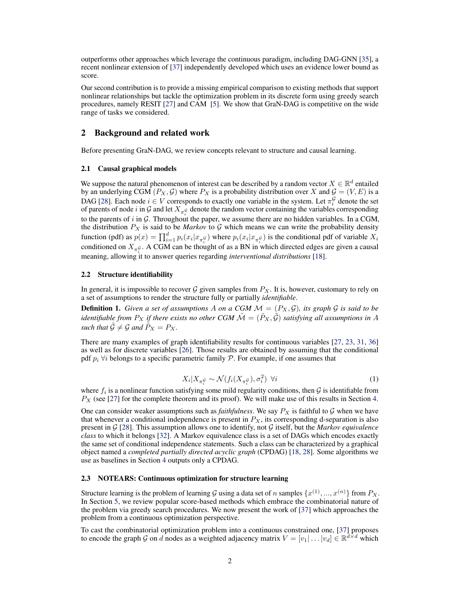outperforms other approaches which leverage the continuous paradigm, including DAG-GNN [\[35\]](#page-9-6), a recent nonlinear extension of [\[37\]](#page-9-5) independently developed which uses an evidence lower bound as score.

Our second contribution is to provide a missing empirical comparison to existing methods that support nonlinear relationships but tackle the optimization problem in its discrete form using greedy search procedures, namely RESIT [\[27\]](#page-9-7) and CAM [\[5\]](#page-8-2). We show that GraN-DAG is competitive on the wide range of tasks we considered.

# 2 Background and related work

Before presenting GraN-DAG, we review concepts relevant to structure and causal learning.

### 2.1 Causal graphical models

We suppose the natural phenomenon of interest can be described by a random vector  $X \in \mathbb{R}^d$  entailed by an underlying CGM  $(P_X, \mathcal{G})$  where  $P_X$  is a probability distribution over X and  $\mathcal{G} = (V, E)$  is a DAG [\[28\]](#page-9-0). Each node  $i \in V$  corresponds to exactly one variable in the system. Let  $\pi_i^{\mathcal{G}}$  denote the set of parents of node i in G and let  $X_{\pi_i^G}$  denote the random vector containing the variables corresponding to the parents of  $i$  in  $G$ . Throughout the paper, we assume there are no hidden variables. In a CGM, the distribution  $P_X$  is said to be *Markov* to  $G$  which means we can write the probability density function (pdf) as  $p(x) = \prod_{i=1}^d p_i(x_i | x_{\pi_i^{\mathcal{G}}})$  where  $p_i(x_i | x_{\pi_i^{\mathcal{G}}})$  is the conditional pdf of variable  $X_i$ conditioned on  $X_{\pi_i^{\mathcal{G}}}$ . A CGM can be thought of as a BN in which directed edges are given a causal meaning, allowing it to answer queries regarding *interventional distributions* [\[18\]](#page-8-0).

# <span id="page-1-0"></span>2.2 Structure identifiability

In general, it is impossible to recover  $\mathcal G$  given samples from  $P_X$ . It is, however, customary to rely on a set of assumptions to render the structure fully or partially *identifiable*.

**Definition 1.** Given a set of assumptions A on a CGM  $M = (P_X, \mathcal{G})$ , its graph  $\mathcal{G}$  is said to be *identifiable from*  $P_X$  *if there exists no other CGM*  $\tilde{\mathcal{M}} = (\tilde{P}_X, \tilde{\mathcal{G}})$  *satisfying all assumptions in* A *such that*  $\tilde{G} \neq \mathcal{G}$  *and*  $\tilde{P}_X = P_X$ .

There are many examples of graph identifiability results for continuous variables [\[27,](#page-9-7) [23,](#page-9-8) [31,](#page-9-9) [36\]](#page-9-10) as well as for discrete variables [\[26\]](#page-9-11). Those results are obtained by assuming that the conditional pdf  $p_i \forall i$  belongs to a specific parametric family  $P$ . For example, if one assumes that

$$
X_i | X_{\pi_i^{\mathcal{G}}} \sim \mathcal{N}(f_i(X_{\pi_i^{\mathcal{G}}}), \sigma_i^2) \ \forall i
$$
\n<sup>(1)</sup>

where  $f_i$  is a nonlinear function satisfying some mild regularity conditions, then  $\mathcal G$  is identifiable from  $P_X$  (see [\[27\]](#page-9-7) for the complete theorem and its proof). We will make use of this results in Section [4.](#page-4-0)

One can consider weaker assumptions such as *faithfulness*. We say  $P_X$  is faithful to  $G$  when we have that whenever a conditional independence is present in  $P_X$ , its corresponding d-separation is also present in G [\[28\]](#page-9-0). This assumption allows one to identify, not G itself, but the *Markov equivalence class* to which it belongs [\[32\]](#page-9-12). A Markov equivalence class is a set of DAGs which encodes exactly the same set of conditional independence statements. Such a class can be characterized by a graphical object named a *completed partially directed acyclic graph* (CPDAG) [\[18,](#page-8-0) [28\]](#page-9-0). Some algorithms we use as baselines in Section [4](#page-4-0) outputs only a CPDAG.

# <span id="page-1-1"></span>2.3 NOTEARS: Continuous optimization for structure learning

Structure learning is the problem of learning  $\cal G$  using a data set of  $n$  samples  $\{x^{(1)},...,x^{(n)}\}$  from  $P_X.$ In Section [5,](#page-7-0) we review popular score-based methods which embrace the combinatorial nature of the problem via greedy search procedures. We now present the work of [\[37\]](#page-9-5) which approaches the problem from a continuous optimization perspective.

To cast the combinatorial optimization problem into a continuous constrained one, [\[37\]](#page-9-5) proposes to encode the graph G on d nodes as a weighted adjacency matrix  $V = [v_1 | \dots | v_d] \in \mathbb{R}^{d \times d}$  which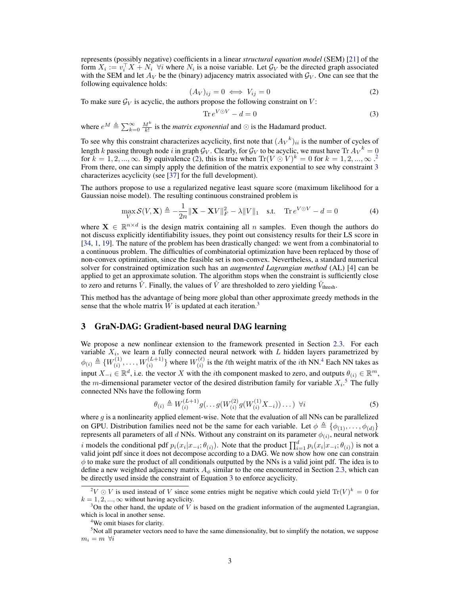represents (possibly negative) coefficients in a linear *structural equation model* (SEM) [\[21\]](#page-9-2) of the form  $X_i := v_i^{\top} X + N_i$   $\forall i$  where  $N_i$  is a noise variable. Let  $\mathcal{G}_V$  be the directed graph associated with the SEM and let  $A_V$  be the (binary) adjacency matrix associated with  $\mathcal{G}_V$ . One can see that the following equivalence holds:

<span id="page-2-0"></span>
$$
(A_V)_{ij} = 0 \iff V_{ij} = 0 \tag{2}
$$

To make sure  $\mathcal{G}_V$  is acyclic, the authors propose the following constraint on V:

<span id="page-2-2"></span>
$$
\operatorname{Tr} e^{V \odot V} - d = 0 \tag{3}
$$

where  $e^M \triangleq \sum_{k=0}^{\infty} \frac{M^k}{k!}$  is the *matrix exponential* and  $\odot$  is the Hadamard product.

To see why this constraint characterizes acyclicity, first note that  $(A_V{}^k)_{ii}$  is the number of cycles of length k passing through node i in graph  $\mathcal{G}_V$ . Clearly, for  $\mathcal{G}_V$  to be acyclic, we must have Tr  ${A_V}^k = 0$ for  $k = 1, 2, ..., \infty$  $k = 1, 2, ..., \infty$  $k = 1, 2, ..., \infty$ . By equivalence [\(2\)](#page-2-0), this is true when  $\text{Tr}(V \odot V)^k = 0$  for  $k = 1, 2, ..., \infty$ . From there, one can simply apply the definition of the matrix exponential to see why constraint [3](#page-2-2) characterizes acyclicity (see [\[37\]](#page-9-5) for the full development).

The authors propose to use a regularized negative least square score (maximum likelihood for a Gaussian noise model). The resulting continuous constrained problem is

$$
\max_{V} \mathcal{S}(V, \mathbf{X}) \triangleq -\frac{1}{2n} \|\mathbf{X} - \mathbf{X}V\|_{F}^{2} - \lambda \|V\|_{1} \quad \text{s.t.} \quad \text{Tr } e^{V \odot V} - d = 0 \tag{4}
$$

where  $X \in \mathbb{R}^{n \times d}$  is the design matrix containing all n samples. Even though the authors do not discuss explicitly identifiability issues, they point out consistency results for their LS score in [\[34,](#page-9-13) [1,](#page-8-3) [19\]](#page-8-4). The nature of the problem has been drastically changed: we went from a combinatorial to a continuous problem. The difficulties of combinatorial optimization have been replaced by those of non-convex optimization, since the feasible set is non-convex. Nevertheless, a standard numerical solver for constrained optimization such has an *augmented Lagrangian method* (AL) [\[4\]](#page-8-5) can be applied to get an approximate solution. The algorithm stops when the constraint is sufficiently close to zero and returns  $\hat{V}$ . Finally, the values of  $\hat{V}$  are thresholded to zero yielding  $\hat{V}_{\text{thresh}}$ .

This method has the advantage of being more global than other approximate greedy methods in the sense that the whole matrix  $W$  is updated at each iteration.<sup>[3](#page-2-3)</sup>

# 3 GraN-DAG: Gradient-based neural DAG learning

We propose a new nonlinear extension to the framework presented in Section [2.3.](#page-1-1) For each variable  $X_i$ , we learn a fully connected neural network with  $L$  hidden layers parametrized by  $\phi_{(i)} \triangleq \{W_{(i)}^{(1)}\}$  $W_{(i)}^{(1)}, \ldots, W_{(i)}^{(L+1)}$  where  $W_{(i)}^{(\ell)}$  $\binom{n}{i}$  is the  $\ell$ th weight matrix of the *i*th NN.<sup>[4](#page-2-4)</sup> Each NN takes as input  $X_{-i} \in \mathbb{R}^d$ , i.e. the vector X with the *i*th component masked to zero, and outputs  $\theta_{(i)} \in \mathbb{R}^m$ , the m-dimensional parameter vector of the desired distribution family for variable  $X_i$ .<sup>[5](#page-2-5)</sup> The fully connected NNs have the following form

$$
\theta_{(i)} \triangleq W_{(i)}^{(L+1)} g(\ldots g(W_{(i)}^{(2)} g(W_{(i)}^{(1)} X_{-i})) \ldots) \ \forall i
$$
\n(5)

where g is a nonlinearity applied element-wise. Note that the evaluation of all NNs can be parallelized on GPU. Distribution families need not be the same for each variable. Let  $\phi \triangleq \{\phi_{(1)}, \dots, \phi_{(d)}\}$ represents all parameters of all d NNs. Without any constraint on its parameter  $\phi_{(i)}$ , neural network

i models the conditional pdf  $p_i(x_i|x_{-i}; \theta_{(i)})$ . Note that the product  $\prod_{i=1}^d p_i(x_i|x_{-i}; \theta_{(i)})$  is not a valid joint pdf since it does not decompose according to a DAG. We now show how one can constrain  $\phi$  to make sure the product of all conditionals outputted by the NNs is a valid joint pdf. The idea is to define a new weighted adjacency matrix  $A_{\phi}$  similar to the one encountered in Section [2.3,](#page-1-1) which can be directly used inside the constraint of Equation [3](#page-2-2) to enforce acyclicity.

<span id="page-2-1"></span> $2^2V \odot V$  is used instead of V since some entries might be negative which could yield  $\text{Tr}(V)^k = 0$  for  $k = 1, 2, ..., \infty$  without having acyclicity.

<span id="page-2-3"></span> $3$ On the other hand, the update of V is based on the gradient information of the augmented Lagrangian, which is local in another sense.

<span id="page-2-5"></span><span id="page-2-4"></span><sup>4</sup>We omit biases for clarity.

<sup>&</sup>lt;sup>5</sup>Not all parameter vectors need to have the same dimensionality, but to simplify the notation, we suppose  $m_i = m \; \forall i$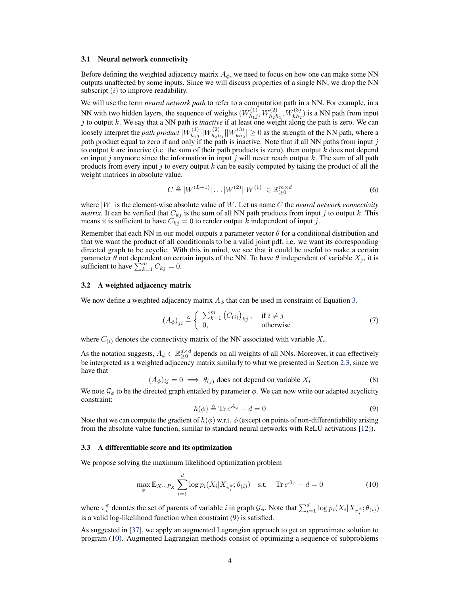#### <span id="page-3-3"></span>3.1 Neural network connectivity

Before defining the weighted adjacency matrix  $A_{\phi}$ , we need to focus on how one can make some NN outputs unaffected by some inputs. Since we will discuss properties of a single NN, we drop the NN subscript  $(i)$  to improve readability.

We will use the term *neural network path* to refer to a computation path in a NN. For example, in a NN with two hidden layers, the sequence of weights  $(W_{h_1}^{(1)})$  $W_{h_1j}^{(1)}, W_{h_2h_1}^{(2)}, W_{kh_2}^{(3)}$  is a NN path from input j to output k. We say that a NN path is *inactive* if at least one weight along the path is zero. We can loosely interpret the *path product*  $|W_{h,j}^{(1)}|$  $\frac{1}{h_1j}||W^{(2)}_{h_2k}$  $\frac{h_2 h_1}{h_2 h_1} || W^{(3)}_{k h_2}$  $\vert k_{th_2}^{(3)} \vert \geq 0$  as the strength of the NN path, where a path product equal to zero if and only if the path is inactive. Note that if all NN paths from input  $j$ to output k are inactive (i.e. the sum of their path products is zero), then output  $k$  does not depend on input j anymore since the information in input j will never reach output k. The sum of all path products from every input j to every output  $k$  can be easily computed by taking the product of all the weight matrices in absolute value.

<span id="page-3-2"></span>
$$
C \triangleq |W^{(L+1)}| \dots |W^{(2)}| |W^{(1)}| \in \mathbb{R}_{\geq 0}^{m \times d}
$$
 (6)

where  $|W|$  is the element-wise absolute value of W. Let us name C the *neural network connectivity matrix*. It can be verified that  $C_{kj}$  is the sum of all NN path products from input j to output k. This means it is sufficient to have  $C_{kj} = 0$  to render output k independent of input j.

Remember that each NN in our model outputs a parameter vector  $\theta$  for a conditional distribution and that we want the product of all conditionals to be a valid joint pdf, i.e. we want its corresponding directed graph to be acyclic. With this in mind, we see that it could be useful to make a certain parameter  $\theta$  not dependent on certain inputs of the NN. To have  $\theta$  independent of variable  $X_j$ , it is sufficient to have  $\sum_{k=1}^{n} C_{kj} = 0$ .

### 3.2 A weighted adjacency matrix

We now define a weighted adjacency matrix  $A_{\phi}$  that can be used in constraint of Equation [3.](#page-2-2)

$$
\left(A_{\phi}\right)_{ji} \triangleq \begin{cases} \sum_{k=1}^{m} \left(C_{(i)}\right)_{kj}, & \text{if } i \neq j \\ 0, & \text{otherwise} \end{cases}
$$
 (7)

where  $C_{(i)}$  denotes the connectivity matrix of the NN associated with variable  $X_i$ .

As the notation suggests,  $A_{\phi} \in \mathbb{R}_{\geq 0}^{d \times d}$  depends on all weights of all NNs. Moreover, it can effectively be interpreted as a weighted adjacency matrix similarly to what we presented in Section [2.3,](#page-1-1) since we have that

$$
(A_{\phi})_{ij} = 0 \implies \theta_{(j)}
$$
 does not depend on variable  $X_i$  (8)

<span id="page-3-0"></span>We note  $\mathcal{G}_{\phi}$  to be the directed graph entailed by parameter  $\phi$ . We can now write our adapted acyclicity constraint:

<span id="page-3-1"></span>
$$
h(\phi) \triangleq \text{Tr} \, e^{A_{\phi}} - d = 0 \tag{9}
$$

Note that we can compute the gradient of  $h(\phi)$  w.r.t.  $\phi$  (except on points of non-differentiability arising from the absolute value function, similar to standard neural networks with ReLU activations [\[12\]](#page-8-6)).

### 3.3 A differentiable score and its optimization

We propose solving the maximum likelihood optimization problem

$$
\max_{\phi} \mathbb{E}_{X \sim P_X} \sum_{i=1}^d \log p_i(X_i | X_{\pi_i^{\phi}}; \theta_{(i)}) \quad \text{s.t.} \quad \text{Tr } e^{A_{\phi}} - d = 0 \tag{10}
$$

where  $\pi_i^{\phi}$  denotes the set of parents of variable *i* in graph  $\mathcal{G}_{\phi}$ . Note that  $\sum_{i=1}^d \log p_i(X_i | X_{\pi_i^{\phi}}; \theta_{(i)})$ is a valid log-likelihood function when constraint [\(9\)](#page-3-0) is satisfied.

As suggested in [\[37\]](#page-9-5), we apply an augmented Lagrangian approach to get an approximate solution to program [\(10\)](#page-3-1). Augmented Lagrangian methods consist of optimizing a sequence of subproblems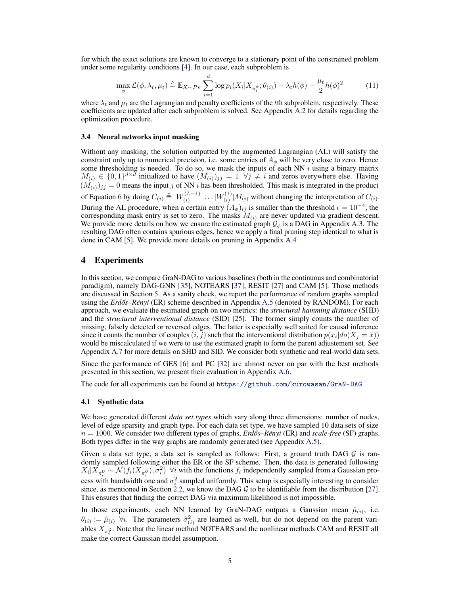for which the exact solutions are known to converge to a stationary point of the constrained problem under some regularity conditions [\[4\]](#page-8-5). In our case, each subproblem is

$$
\max_{\phi} \mathcal{L}(\phi, \lambda_t, \mu_t) \triangleq \mathbb{E}_{X \sim P_X} \sum_{i=1}^d \log p_i(X_i | X_{\pi_i^{\phi}}; \theta_{(i)}) - \lambda_t h(\phi) - \frac{\mu_t}{2} h(\phi)^2 \tag{11}
$$

where  $\lambda_t$  and  $\mu_t$  are the Lagrangian and penalty coefficients of the tth subproblem, respectively. These coefficients are updated after each subproblem is solved. See Appendix [A.2](#page-10-0) for details regarding the optimization procedure.

### <span id="page-4-2"></span>3.4 Neural networks input masking

Without any masking, the solution outputted by the augmented Lagrangian (AL) will satisfy the constraint only up to numerical precision, i.e. some entries of  $A_{\phi}$  will be very close to zero. Hence some thresholding is needed. To do so, we mask the inputs of each NN  $i$  using a binary matrix  $M_{(i)} \in \{0,1\}^{d \times d}$  initialized to have  $(M_{(i)})_{jj} = 1 \ \ \forall j \neq i$  and zeros everywhere else. Having  $(M_{(i)})_{jj} = 0$  means the input j of NN i has been thresholded. This mask is integrated in the product of Equation [6](#page-3-2) by doing  $C_{(i)} \triangleq |W_{(i)}^{(L+1)}|$  $\binom{(L+1)}{(i)} \dots \binom{W(1)}{(i)}$  $\binom{[1]}{(i)}$   $[M_{(i)}]$  without changing the interpretation of  $C_{(i)}$ . During the AL procedure, when a certain entry  $(A_{\phi})_{ij}$  is smaller than the threshold  $\epsilon = 10^{-4}$ , the corresponding mask entry is set to zero. The masks  $M_{(i)}$  are never updated via gradient descent. We provide more details on how we ensure the estimated graph  $\mathcal{G}_{\phi}$  is a DAG in Appendix [A.3.](#page-10-1) The resulting DAG often contains spurious edges, hence we apply a final pruning step identical to what is done in CAM [\[5\]](#page-8-2). We provide more details on pruning in Appendix [A.4](#page-11-0)

# <span id="page-4-0"></span>4 Experiments

In this section, we compare GraN-DAG to various baselines (both in the continuous and combinatorial paradigm), namely DAG-GNN [\[35\]](#page-9-6), NOTEARS [\[37\]](#page-9-5), RESIT [\[27\]](#page-9-7) and CAM [\[5\]](#page-8-2). Those methods are discussed in Section [5.](#page-7-0) As a sanity check, we report the performance of random graphs sampled using the *Erdős–Rényi* (ER) scheme described in Appendix [A.5](#page-11-1) (denoted by RANDOM). For each approach, we evaluate the estimated graph on two metrics: the *structural hamming distance* (SHD) and the *structural interventional distance* (SID) [\[25\]](#page-9-14). The former simply counts the number of missing, falsely detected or reversed edges. The latter is especially well suited for causal inference since it counts the number of couples  $(i, j)$  such that the interventional distribution  $p(x_i|do(X_j = \bar{x}))$ would be miscalculated if we were to use the estimated graph to form the parent adjustement set. See Appendix [A.7](#page-13-0) for more details on SHD and SID. We consider both synthetic and real-world data sets.

Since the performance of GES [\[6\]](#page-8-7) and PC [\[32\]](#page-9-12) are almost never on par with the best methods presented in this section, we present their evaluation in Appendix [A.6.](#page-11-2)

The code for all experiments can be found at <https://github.com/kurowasan/GraN-DAG>

#### <span id="page-4-1"></span>4.1 Synthetic data

We have generated different *data set types* which vary along three dimensions: number of nodes, level of edge sparsity and graph type. For each data set type, we have sampled 10 data sets of size  $n = 1000$ . We consider two different types of graphs, *Erdős–Rényi* (ER) and *scale-free* (SF) graphs. Both types differ in the way graphs are randomly generated (see Appendix [A.5\)](#page-11-1).

Given a data set type, a data set is sampled as follows: First, a ground truth DAG  $\mathcal G$  is randomly sampled following either the ER or the SF scheme. Then, the data is generated following  $X_i | X_{\pi_i^{\mathcal{G}}} \sim \mathcal{N}(f_i(X_{\pi_i^{\mathcal{G}}}), \sigma_i^2)$   $\forall i$  with the functions  $f_i$  independently sampled from a Gaussian process with bandwidth one and  $\sigma_i^2$  sampled uniformly. This setup is especially interesting to consider since, as mentioned in Section [2.2,](#page-1-0) we know the DAG  $G$  to be identifiable from the distribution [\[27\]](#page-9-7). This ensures that finding the correct DAG via maximum likelihood is not impossible.

In those experiments, each NN learned by GraN-DAG outputs a Gaussian mean  $\hat{\mu}_{(i)}$ , i.e.  $\theta(i) := \hat{\mu}(i)$   $\forall i$ . The parameters  $\hat{\sigma}_{(i)}^2$  are learned as well, but do not depend on the parent variables  $X_{\pi_i^{\mathcal{G}}}$ . Note that the linear method NOTEARS and the nonlinear methods CAM and RESIT all make the correct Gaussian model assumption.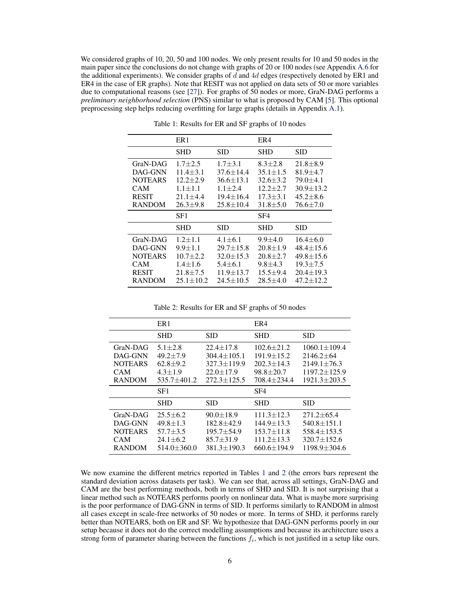We considered graphs of 10, 20, 50 and 100 nodes. We only present results for 10 and 50 nodes in the main paper since the conclusions do not change with graphs of 20 or 100 nodes (see Appendix [A.6](#page-11-2) for the additional experiments). We consider graphs of  $d$  and  $4d$  edges (respectively denoted by ER1 and ER4 in the case of ER graphs). Note that RESIT was not applied on data sets of 50 or more variables due to computational reasons (see [\[27\]](#page-9-7)). For graphs of  $50$  nodes or more, GraN-DAG performs a *preliminary neighborhood selection* (PNS) similar to what is proposed by CAM [\[5\]](#page-8-2). This optional preprocessing step helps reducing overfitting for large graphs (details in Appendix [A.1\)](#page-10-2).

<span id="page-5-0"></span>

|                                                                     | ER <sub>1</sub>                                                                  |                                                                                     | ER4                                                                               |                                                                                 |  |
|---------------------------------------------------------------------|----------------------------------------------------------------------------------|-------------------------------------------------------------------------------------|-----------------------------------------------------------------------------------|---------------------------------------------------------------------------------|--|
|                                                                     | <b>SHD</b>                                                                       | SID                                                                                 | <b>SHD</b>                                                                        | <b>SID</b>                                                                      |  |
| GraN-DAG<br>DAG-GNN<br><b>NOTEARS</b><br><b>CAM</b><br><b>RESIT</b> | $1.7 + 2.5$<br>$11.4 \pm 3.1$<br>$12.2 + 2.9$<br>$1.1 \pm 1.1$<br>$21.1 \pm 4.4$ | $1.7 + 3.1$<br>$37.6 \pm 14.4$<br>$36.6 \pm 13.1$<br>$1.1 + 2.4$<br>$19.4 \pm 16.4$ | $8.3 + 2.8$<br>$35.1 \pm 1.5$<br>$32.6 \pm 3.2$<br>$12.2 + 2.7$<br>$17.3 \pm 3.1$ | $21.8 \pm 8.9$<br>$81.9 \pm 4.7$<br>79.0±4.1<br>$30.9 + 13.2$<br>$45.2 \pm 8.6$ |  |
| <b>RANDOM</b>                                                       | $26.3 + 9.8$                                                                     | $25.8 \pm 10.4$                                                                     | $31.8 \pm 5.0$                                                                    | $76.6 \pm 7.0$                                                                  |  |
|                                                                     | SF1                                                                              |                                                                                     | SF <sub>4</sub>                                                                   |                                                                                 |  |
|                                                                     | SHD                                                                              | SID                                                                                 | <b>SHD</b>                                                                        | <b>SID</b>                                                                      |  |

Table 1: Results for ER and SF graphs of 10 nodes

Table 2: Results for ER and SF graphs of 50 nodes

<span id="page-5-1"></span>

|                                                                      | ER <sub>1</sub>                                                                     |                                                                                                   | ER4                                                                                        |                                                                                                      |  |
|----------------------------------------------------------------------|-------------------------------------------------------------------------------------|---------------------------------------------------------------------------------------------------|--------------------------------------------------------------------------------------------|------------------------------------------------------------------------------------------------------|--|
|                                                                      | <b>SHD</b>                                                                          | <b>SID</b>                                                                                        | <b>SHD</b>                                                                                 | <b>SID</b>                                                                                           |  |
| GraN-DAG<br>DAG-GNN<br><b>NOTEARS</b><br><b>CAM</b><br><b>RANDOM</b> | $5.1 \pm 2.8$<br>$49.2 \pm 7.9$<br>$62.8 + 9.2$<br>$4.3 \pm 1.9$<br>$535.7 + 401.2$ | $22.4 \pm 17.8$<br>$304.4 \pm 105.1$<br>$327.3 \pm 119.9$<br>$22.0 \pm 17.9$<br>$272.3 \pm 125.5$ | $102.6 \pm 21.2$<br>$191.9 \pm 15.2$<br>$202.3 \pm 14.3$<br>$98.8 \pm 20.7$<br>708.4±234.4 | $1060.1 \pm 109.4$<br>$2146.2 \pm 64$<br>$2149.1 + 76.3$<br>$1197.2 \pm 125.9$<br>$1921.3 \pm 203.5$ |  |
|                                                                      |                                                                                     |                                                                                                   |                                                                                            |                                                                                                      |  |
|                                                                      | SF1                                                                                 |                                                                                                   | SF <sub>4</sub>                                                                            |                                                                                                      |  |
|                                                                      | <b>SHD</b>                                                                          | <b>SID</b>                                                                                        | <b>SHD</b>                                                                                 | <b>SID</b>                                                                                           |  |

We now examine the different metrics reported in Tables [1](#page-5-0) and [2](#page-5-1) (the errors bars represent the standard deviation across datasets per task). We can see that, across all settings, GraN-DAG and CAM are the best performing methods, both in terms of SHD and SID. It is not surprising that a linear method such as NOTEARS performs poorly on nonlinear data. What is maybe more surprising is the poor performance of DAG-GNN in terms of SID. It performs similarly to RANDOM in almost all cases except in scale-free networks of 50 nodes or more. In terms of SHD, it performs rarely better than NOTEARS, both on ER and SF. We hypothesize that DAG-GNN performs poorly in our setup because it does not do the correct modelling assumptions and because its architecture uses a strong form of parameter sharing between the functions  $f_i$ , which is not justified in a setup like ours.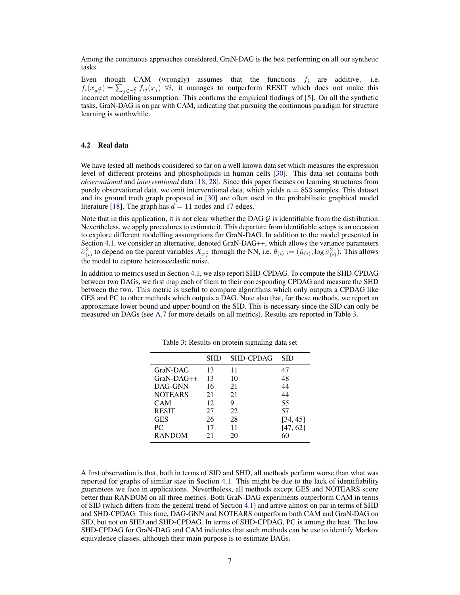Among the continuous approaches considered, GraN-DAG is the best performing on all our synthetic tasks.

Even though CAM (wrongly) assumes that the functions  $f_i$  are additive, i.e.  $f_i(x_{\pi_i^{\mathcal{G}}}) = \sum_{j \in \pi_i^{\mathcal{G}}} f_{ij}(x_j)$   $\forall i$ , it manages to outperform RESIT which does not make this incorrect modelling assumption. This confirms the empirical findings of [\[5\]](#page-8-2). On all the synthetic tasks, GraN-DAG is on par with CAM, indicating that pursuing the continuous paradigm for structure learning is worthwhile.

# <span id="page-6-1"></span>4.2 Real data

We have tested all methods considered so far on a well known data set which measures the expression level of different proteins and phospholipids in human cells [\[30\]](#page-9-1). This data set contains both *observational* and *interventional* data [\[18,](#page-8-0) [28\]](#page-9-0). Since this paper focuses on learning structures from purely observational data, we omit interventional data, which yields  $n = 853$  samples. This dataset and its ground truth graph proposed in [\[30\]](#page-9-1) are often used in the probabilistic graphical model literature [\[18\]](#page-8-0). The graph has  $d = 11$  nodes and 17 edges.

Note that in this application, it is not clear whether the DAG  $\mathcal G$  is identifiable from the distribution. Nevertheless, we apply procedures to estimate it. This departure from identifiable setups is an occasion to explore different modelling assumptions for GraN-DAG. In addition to the model presented in Section [4.1,](#page-4-1) we consider an alternative, denoted GraN-DAG++, which allows the variance parameters  $\hat{\sigma}_{(i)}^2$  to depend on the parent variables  $X_{\pi_i^{\mathcal{G}}}$  through the NN, i.e.  $\theta_{(i)} := (\hat{\mu}_{(i)}, \log \hat{\sigma}_{(i)}^2)$ . This allows the model to capture heteroscedastic noise.

<span id="page-6-0"></span>In addition to metrics used in Section [4.1,](#page-4-1) we also report SHD-CPDAG. To compute the SHD-CPDAG between two DAGs, we first map each of them to their corresponding CPDAG and measure the SHD between the two. This metric is useful to compare algorithms which only outputs a CPDAG like GES and PC to other methods which outputs a DAG. Note also that, for these methods, we report an approximate lower bound and upper bound on the SID. This is necessary since the SID can only be measured on DAGs (see [A.7](#page-13-0) for more details on all metrics). Results are reported in Table [3.](#page-6-0)

|                | SHD | <b>SHD-CPDAG</b> | SID      |
|----------------|-----|------------------|----------|
| GraN-DAG       | 13  | 11               | 47       |
| $GraN-DAG++$   | 13  | 10               | 48       |
| DAG-GNN        | 16  | 21               | 44       |
| <b>NOTEARS</b> | 21  | 21               | 44       |
| CAM            | 12  | 9                | 55       |
| <b>RESIT</b>   | 27  | 22               | 57       |
| <b>GES</b>     | 26  | 28               | [34, 45] |
| PC             | 17  | 11               | [47, 62] |
| <b>RANDOM</b>  | 21  | 20               | 60       |

Table 3: Results on protein signaling data set

A first observation is that, both in terms of SID and SHD, all methods perform worse than what was reported for graphs of similar size in Section [4.1.](#page-4-1) This might be due to the lack of identifiability guarantees we face in applications. Nevertheless, all methods except GES and NOTEARS score better than RANDOM on all three metrics. Both GraN-DAG experiments outperform CAM in terms of SID (which differs from the general trend of Section [4.1\)](#page-4-1) and arrive almost on par in terms of SHD and SHD-CPDAG. This time, DAG-GNN and NOTEARS outperform both CAM and GraN-DAG on SID, but not on SHD and SHD-CPDAG. In terms of SHD-CPDAG, PC is among the best. The low SHD-CPDAG for GraN-DAG and CAM indicates that such methods can be use to identify Markov equivalence classes, although their main purpose is to estimate DAGs.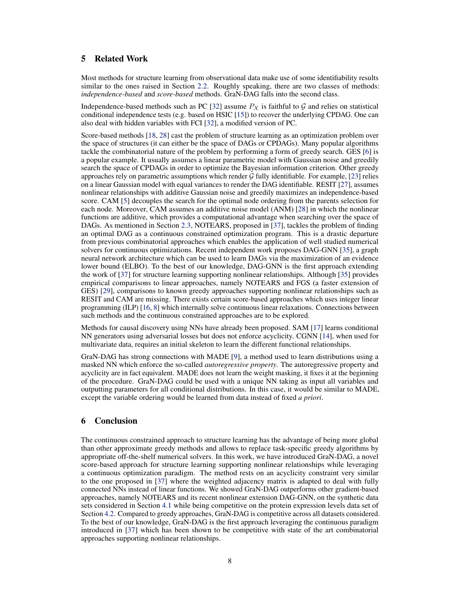# <span id="page-7-0"></span>5 Related Work

Most methods for structure learning from observational data make use of some identifiability results similar to the ones raised in Section [2.2.](#page-1-0) Roughly speaking, there are two classes of methods: *independence-based* and *score-based* methods. GraN-DAG falls into the second class.

Independence-based methods such as PC [\[32\]](#page-9-12) assume  $P_X$  is faithful to  $\mathcal G$  and relies on statistical conditional independence tests (e.g. based on HSIC [\[15\]](#page-8-8)) to recover the underlying CPDAG. One can also deal with hidden variables with FCI [\[32\]](#page-9-12), a modified version of PC.

Score-based methods [\[18,](#page-8-0) [28\]](#page-9-0) cast the problem of structure learning as an optimization problem over the space of structures (it can either be the space of DAGs or CPDAGs). Many popular algorithms tackle the combinatorial nature of the problem by performing a form of greedy search. GES [\[6\]](#page-8-7) is a popular example. It usually assumes a linear parametric model with Gaussian noise and greedily search the space of CPDAGs in order to optimize the Bayesian information criterion. Other greedy approaches rely on parametric assumptions which render  $G$  fully identifiable. For example, [\[23\]](#page-9-8) relies on a linear Gaussian model with equal variances to render the DAG identifiable. RESIT [\[27\]](#page-9-7), assumes nonlinear relationships with additive Gaussian noise and greedily maximizes an independence-based score. CAM [\[5\]](#page-8-2) decouples the search for the optimal node ordering from the parents selection for each node. Moreover, CAM assumes an additive noise model (ANM) [\[28\]](#page-9-0) in which the nonlinear functions are additive, which provides a computational advantage when searching over the space of DAGs. As mentioned in Section [2.3,](#page-1-1) NOTEARS, proposed in [\[37\]](#page-9-5), tackles the problem of finding an optimal DAG as a continuous constrained optimization program. This is a drastic departure from previous combinatorial approaches which enables the application of well studied numerical solvers for continuous optimizations. Recent independent work proposes DAG-GNN [\[35\]](#page-9-6), a graph neural network architecture which can be used to learn DAGs via the maximization of an evidence lower bound (ELBO). To the best of our knowledge, DAG-GNN is the first approach extending the work of [\[37\]](#page-9-5) for structure learning supporting nonlinear relationships. Although [\[35\]](#page-9-6) provides empirical comparisons to linear approaches, namely NOTEARS and FGS (a faster extension of GES) [\[29\]](#page-9-15), comparisons to known greedy approaches supporting nonlinear relationships such as RESIT and CAM are missing. There exists certain score-based approaches which uses integer linear programming (ILP) [\[16,](#page-8-9) [8\]](#page-8-10) which internally solve continuous linear relaxations. Connections between such methods and the continuous constrained approaches are to be explored.

Methods for causal discovery using NNs have already been proposed. SAM [\[17\]](#page-8-11) learns conditional NN generators using adversarial losses but does not enforce acyclicity. CGNN [\[14\]](#page-8-12), when used for multivariate data, requires an initial skeleton to learn the different functional relationships.

GraN-DAG has strong connections with MADE [\[9\]](#page-8-13), a method used to learn distributions using a masked NN which enforce the so-called *autoregressive property*. The autoregressive property and acyclicity are in fact equivalent. MADE does not learn the weight masking, it fixes it at the beginning of the procedure. GraN-DAG could be used with a unique NN taking as input all variables and outputting parameters for all conditional distributions. In this case, it would be similar to MADE, except the variable ordering would be learned from data instead of fixed *a priori*.

# 6 Conclusion

The continuous constrained approach to structure learning has the advantage of being more global than other approximate greedy methods and allows to replace task-specific greedy algorithms by appropriate off-the-shelf numerical solvers. In this work, we have introduced GraN-DAG, a novel score-based approach for structure learning supporting nonlinear relationships while leveraging a continuous optimization paradigm. The method rests on an acyclicity constraint very similar to the one proposed in [\[37\]](#page-9-5) where the weighted adjacency matrix is adapted to deal with fully connected NNs instead of linear functions. We showed GraN-DAG outperforms other gradient-based approaches, namely NOTEARS and its recent nonlinear extension DAG-GNN, on the synthetic data sets considered in Section [4.1](#page-4-1) while being competitive on the protein expression levels data set of Section [4.2.](#page-6-1) Compared to greedy approaches, GraN-DAG is competitive across all datasets considered. To the best of our knowledge, GraN-DAG is the first approach leveraging the continuous paradigm introduced in [\[37\]](#page-9-5) which has been shown to be competitive with state of the art combinatorial approaches supporting nonlinear relationships.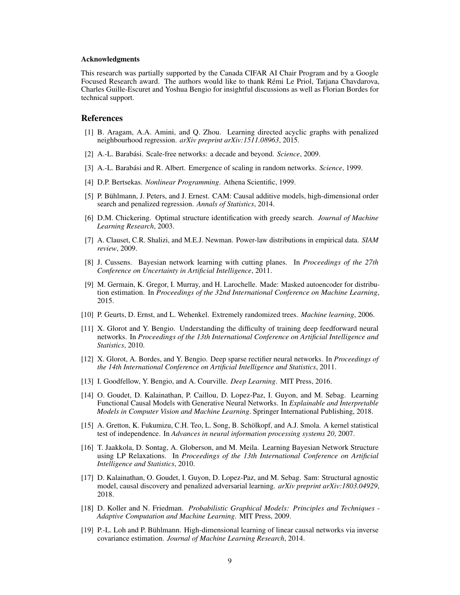### Acknowledgments

This research was partially supported by the Canada CIFAR AI Chair Program and by a Google Focused Research award. The authors would like to thank Rémi Le Priol, Tatjana Chavdarova, Charles Guille-Escuret and Yoshua Bengio for insightful discussions as well as Florian Bordes for technical support.

# References

- <span id="page-8-3"></span>[1] B. Aragam, A.A. Amini, and Q. Zhou. Learning directed acyclic graphs with penalized neighbourhood regression. *arXiv preprint arXiv:1511.08963*, 2015.
- <span id="page-8-16"></span>[2] A.-L. Barabási. Scale-free networks: a decade and beyond. *Science*, 2009.
- <span id="page-8-15"></span>[3] A.-L. Barabási and R. Albert. Emergence of scaling in random networks. *Science*, 1999.
- <span id="page-8-5"></span>[4] D.P. Bertsekas. *Nonlinear Programming*. Athena Scientific, 1999.
- <span id="page-8-2"></span>[5] P. Bühlmann, J. Peters, and J. Ernest. CAM: Causal additive models, high-dimensional order search and penalized regression. *Annals of Statistics*, 2014.
- <span id="page-8-7"></span>[6] D.M. Chickering. Optimal structure identification with greedy search. *Journal of Machine Learning Research*, 2003.
- <span id="page-8-17"></span>[7] A. Clauset, C.R. Shalizi, and M.E.J. Newman. Power-law distributions in empirical data. *SIAM review*, 2009.
- <span id="page-8-10"></span>[8] J. Cussens. Bayesian network learning with cutting planes. In *Proceedings of the 27th Conference on Uncertainty in Artificial Intelligence*, 2011.
- <span id="page-8-13"></span>[9] M. Germain, K. Gregor, I. Murray, and H. Larochelle. Made: Masked autoencoder for distribution estimation. In *Proceedings of the 32nd International Conference on Machine Learning*, 2015.
- <span id="page-8-14"></span>[10] P. Geurts, D. Ernst, and L. Wehenkel. Extremely randomized trees. *Machine learning*, 2006.
- <span id="page-8-18"></span>[11] X. Glorot and Y. Bengio. Understanding the difficulty of training deep feedforward neural networks. In *Proceedings of the 13th International Conference on Artificial Intelligence and Statistics*, 2010.
- <span id="page-8-6"></span>[12] X. Glorot, A. Bordes, and Y. Bengio. Deep sparse rectifier neural networks. In *Proceedings of the 14th International Conference on Artificial Intelligence and Statistics*, 2011.
- <span id="page-8-1"></span>[13] I. Goodfellow, Y. Bengio, and A. Courville. *Deep Learning*. MIT Press, 2016.
- <span id="page-8-12"></span>[14] O. Goudet, D. Kalainathan, P. Caillou, D. Lopez-Paz, I. Guyon, and M. Sebag. Learning Functional Causal Models with Generative Neural Networks. In *Explainable and Interpretable Models in Computer Vision and Machine Learning*. Springer International Publishing, 2018.
- <span id="page-8-8"></span>[15] A. Gretton, K. Fukumizu, C.H. Teo, L. Song, B. Schölkopf, and A.J. Smola. A kernel statistical test of independence. In *Advances in neural information processing systems 20*, 2007.
- <span id="page-8-9"></span>[16] T. Jaakkola, D. Sontag, A. Globerson, and M. Meila. Learning Bayesian Network Structure using LP Relaxations. In *Proceedings of the 13th International Conference on Artificial Intelligence and Statistics*, 2010.
- <span id="page-8-11"></span>[17] D. Kalainathan, O. Goudet, I. Guyon, D. Lopez-Paz, and M. Sebag. Sam: Structural agnostic model, causal discovery and penalized adversarial learning. *arXiv preprint arXiv:1803.04929*, 2018.
- <span id="page-8-0"></span>[18] D. Koller and N. Friedman. *Probabilistic Graphical Models: Principles and Techniques - Adaptive Computation and Machine Learning*. MIT Press, 2009.
- <span id="page-8-4"></span>[19] P.-L. Loh and P. Bühlmann. High-dimensional learning of linear causal networks via inverse covariance estimation. *Journal of Machine Learning Research*, 2014.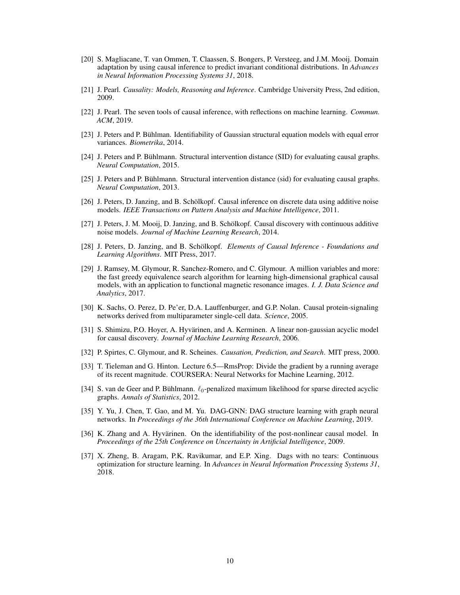- <span id="page-9-4"></span>[20] S. Magliacane, T. van Ommen, T. Claassen, S. Bongers, P. Versteeg, and J.M. Mooij. Domain adaptation by using causal inference to predict invariant conditional distributions. In *Advances in Neural Information Processing Systems 31*, 2018.
- <span id="page-9-2"></span>[21] J. Pearl. *Causality: Models, Reasoning and Inference*. Cambridge University Press, 2nd edition, 2009.
- <span id="page-9-3"></span>[22] J. Pearl. The seven tools of causal inference, with reflections on machine learning. *Commun. ACM*, 2019.
- <span id="page-9-8"></span>[23] J. Peters and P. Bühlman. Identifiability of Gaussian structural equation models with equal error variances. *Biometrika*, 2014.
- <span id="page-9-17"></span>[24] J. Peters and P. Bühlmann. Structural intervention distance (SID) for evaluating causal graphs. *Neural Computation*, 2015.
- <span id="page-9-14"></span>[25] J. Peters and P. Bühlmann. Structural intervention distance (sid) for evaluating causal graphs. *Neural Computation*, 2013.
- <span id="page-9-11"></span>[26] J. Peters, D. Janzing, and B. Schölkopf. Causal inference on discrete data using additive noise models. *IEEE Transactions on Pattern Analysis and Machine Intelligence*, 2011.
- <span id="page-9-7"></span>[27] J. Peters, J. M. Mooij, D. Janzing, and B. Schölkopf. Causal discovery with continuous additive noise models. *Journal of Machine Learning Research*, 2014.
- <span id="page-9-0"></span>[28] J. Peters, D. Janzing, and B. Schölkopf. *Elements of Causal Inference - Foundations and Learning Algorithms*. MIT Press, 2017.
- <span id="page-9-15"></span>[29] J. Ramsey, M. Glymour, R. Sanchez-Romero, and C. Glymour. A million variables and more: the fast greedy equivalence search algorithm for learning high-dimensional graphical causal models, with an application to functional magnetic resonance images. *I. J. Data Science and Analytics*, 2017.
- <span id="page-9-1"></span>[30] K. Sachs, O. Perez, D. Pe'er, D.A. Lauffenburger, and G.P. Nolan. Causal protein-signaling networks derived from multiparameter single-cell data. *Science*, 2005.
- <span id="page-9-9"></span>[31] S. Shimizu, P.O. Hoyer, A. Hyvärinen, and A. Kerminen. A linear non-gaussian acyclic model for causal discovery. *Journal of Machine Learning Research*, 2006.
- <span id="page-9-12"></span>[32] P. Spirtes, C. Glymour, and R. Scheines. *Causation, Prediction, and Search*. MIT press, 2000.
- <span id="page-9-16"></span>[33] T. Tieleman and G. Hinton. Lecture 6.5—RmsProp: Divide the gradient by a running average of its recent magnitude. COURSERA: Neural Networks for Machine Learning, 2012.
- <span id="page-9-13"></span>[34] S. van de Geer and P. Bühlmann.  $\ell_0$ -penalized maximum likelihood for sparse directed acyclic graphs. *Annals of Statistics*, 2012.
- <span id="page-9-6"></span>[35] Y. Yu, J. Chen, T. Gao, and M. Yu. DAG-GNN: DAG structure learning with graph neural networks. In *Proceedings of the 36th International Conference on Machine Learning*, 2019.
- <span id="page-9-10"></span>[36] K. Zhang and A. Hyvärinen. On the identifiability of the post-nonlinear causal model. In *Proceedings of the 25th Conference on Uncertainty in Artificial Intelligence*, 2009.
- <span id="page-9-5"></span>[37] X. Zheng, B. Aragam, P.K. Ravikumar, and E.P. Xing. Dags with no tears: Continuous optimization for structure learning. In *Advances in Neural Information Processing Systems 31*, 2018.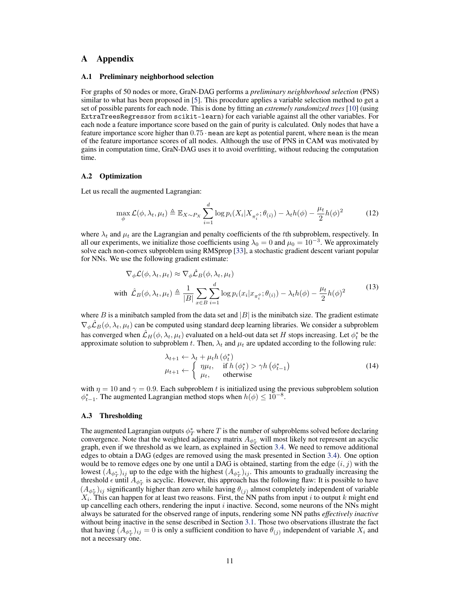# A Appendix

#### <span id="page-10-2"></span>A.1 Preliminary neighborhood selection

For graphs of 50 nodes or more, GraN-DAG performs a *preliminary neighborhood selection* (PNS) similar to what has been proposed in [\[5\]](#page-8-2). This procedure applies a variable selection method to get a set of possible parents for each node. This is done by fitting an *extremely randomized trees* [\[10\]](#page-8-14) (using ExtraTreesRegressor from scikit-learn) for each variable against all the other variables. For each node a feature importance score based on the gain of purity is calculated. Only nodes that have a feature importance score higher than 0.75 · mean are kept as potential parent, where mean is the mean of the feature importance scores of all nodes. Although the use of PNS in CAM was motivated by gains in computation time, GraN-DAG uses it to avoid overfitting, without reducing the computation time.

### <span id="page-10-0"></span>A.2 Optimization

Let us recall the augmented Lagrangian:

$$
\max_{\phi} \mathcal{L}(\phi, \lambda_t, \mu_t) \triangleq \mathbb{E}_{X \sim P_X} \sum_{i=1}^d \log p_i(X_i | X_{\pi_i^{\phi}}; \theta_{(i)}) - \lambda_t h(\phi) - \frac{\mu_t}{2} h(\phi)^2 \tag{12}
$$

where  $\lambda_t$  and  $\mu_t$  are the Lagrangian and penalty coefficients of the tth subproblem, respectively. In all our experiments, we initialize those coefficients using  $\lambda_0 = 0$  and  $\mu_0 = 10^{-3}$ . We approximately solve each non-convex subproblem using RMSprop [\[33\]](#page-9-16), a stochastic gradient descent variant popular for NNs. We use the following gradient estimate:

$$
\nabla_{\phi} \mathcal{L}(\phi, \lambda_t, \mu_t) \approx \nabla_{\phi} \hat{\mathcal{L}}_B(\phi, \lambda_t, \mu_t)
$$
  
with 
$$
\hat{\mathcal{L}}_B(\phi, \lambda_t, \mu_t) \triangleq \frac{1}{|B|} \sum_{x \in B} \sum_{i=1}^d \log p_i(x_i | x_{\pi_i^{\phi}}; \theta_{(i)}) - \lambda_t h(\phi) - \frac{\mu_t}{2} h(\phi)^2
$$
 (13)

where B is a minibatch sampled from the data set and  $|B|$  is the minibatch size. The gradient estimate  $\nabla_{\phi} \mathcal{L}_B(\phi, \lambda_t, \mu_t)$  can be computed using standard deep learning libraries. We consider a subproblem has converged when  $\hat{\cal L}_H(\phi, \lambda_t, \mu_t)$  evaluated on a held-out data set  $H$  stops increasing. Let  $\phi_t^*$  be the approximate solution to subproblem t. Then,  $\lambda_t$  and  $\mu_t$  are updated according to the following rule:

$$
\lambda_{t+1} \leftarrow \lambda_t + \mu_t h \left( \phi_t^* \right) \n\mu_{t+1} \leftarrow \begin{cases}\n\eta \mu_t, & \text{if } h \left( \phi_t^* \right) > \gamma h \left( \phi_{t-1}^* \right) \\
\mu_t, & \text{otherwise}\n\end{cases}
$$
\n(14)

with  $\eta = 10$  and  $\gamma = 0.9$ . Each subproblem t is initialized using the previous subproblem solution  $\phi_{t-1}^*$ . The augmented Lagrangian method stops when  $h(\phi) \leq 10^{-8}$ .

#### <span id="page-10-1"></span>A.3 Thresholding

The augmented Lagrangian outputs  $\phi_T^*$  where  $T$  is the number of subproblems solved before declaring convergence. Note that the weighted adjacency matrix  $A_{\phi_T^*}$  will most likely not represent an acyclic graph, even if we threshold as we learn, as explained in Section [3.4.](#page-4-2) We need to remove additional edges to obtain a DAG (edges are removed using the mask presented in Section [3.4\)](#page-4-2). One option would be to remove edges one by one until a DAG is obtained, starting from the edge  $(i, j)$  with the lowest  $(A_{\phi_T^*})_{ij}$  up to the edge with the highest  $(A_{\phi_T^*})_{ij}$ . This amounts to gradually increasing the threshold  $\epsilon$  until  $A_{\phi_T^*}$  is acyclic. However, this approach has the following flaw: It is possible to have  $(A_{\phi_T^*})_{ij}$  significantly higher than zero while having  $\theta_{(j)}$  almost completely independent of variable  $X_i$ . This can happen for at least two reasons. First, the NN paths from input i to output k might end up cancelling each others, rendering the input  $i$  inactive. Second, some neurons of the NNs might always be saturated for the observed range of inputs, rendering some NN paths *effectively inactive* without being inactive in the sense described in Section [3.1.](#page-3-3) Those two observations illustrate the fact that having  $(A_{\phi_T^*})_{ij} = 0$  is only a sufficient condition to have  $\theta_{(j)}$  independent of variable  $X_i$  and not a necessary one.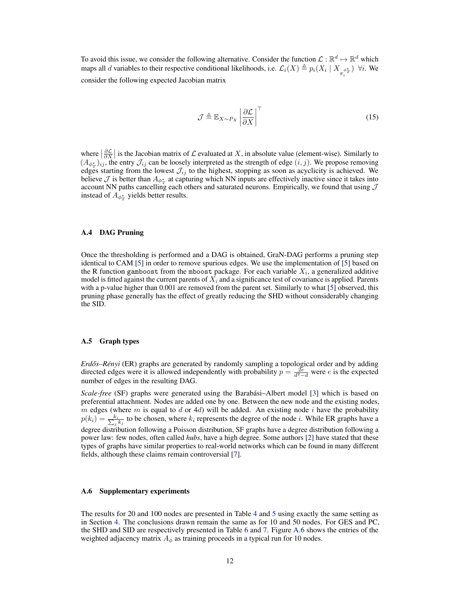To avoid this issue, we consider the following alternative. Consider the function  $\mathcal{L}: \mathbb{R}^d \mapsto \mathbb{R}^d$  which maps all d variables to their respective conditional likelihoods, i.e.  $\mathcal{L}_i(X) \triangleq p_i(X_i \mid X_{\pi_i^{\phi_i^*}})$   $\forall i$ . We i consider the following expected Jacobian matrix

$$
\mathcal{J} \triangleq \mathbb{E}_{X \sim P_X} \left| \frac{\partial \mathcal{L}}{\partial X} \right|^\top \tag{15}
$$

where  $\left|\frac{\partial \mathcal{L}}{\partial X}\right|$  is the Jacobian matrix of  $\mathcal L$  evaluated at X, in absolute value (element-wise). Similarly to  $(A_{\phi_T^*})_{ij}$ , the entry  $\mathcal{J}_{ij}$  can be loosely interpreted as the strength of edge  $(i, j)$ . We propose removing edges starting from the lowest  $\mathcal{J}_{ij}$  to the highest, stopping as soon as acyclicity is achieved. We believe  $\mathcal J$  is better than  $A_{\phi^*_T}$  at capturing which NN inputs are effectively inactive since it takes into  $\sum_{i=1}^{\infty}$  account NN paths cancelling each others and saturated neurons. Empirically, we found that using  $\mathcal{J}$ instead of  $A_{\phi_T^*}$  yields better results.

### <span id="page-11-0"></span>A.4 DAG Pruning

Once the thresholding is performed and a DAG is obtained, GraN-DAG performs a pruning step identical to CAM [\[5\]](#page-8-2) in order to remove spurious edges. We use the implementation of [\[5\]](#page-8-2) based on the R function gamboost from the mboost package. For each variable  $X_i$ , a generalized additive model is fitted against the current parents of  $X_i$  and a significance test of covariance is applied. Parents with a p-value higher than 0.001 are removed from the parent set. Similarly to what [\[5\]](#page-8-2) observed, this pruning phase generally has the effect of greatly reducing the SHD without considerably changing the SID.

### <span id="page-11-1"></span>A.5 Graph types

*Erd˝os–Rényi* (ER) graphs are generated by randomly sampling a topological order and by adding directed edges were it is allowed independently with probability  $p = \frac{2e}{d^2-d}$  were e is the expected number of edges in the resulting DAG.

*Scale-free* (SF) graphs were generated using the Barabási–Albert model [\[3\]](#page-8-15) which is based on preferential attachment. Nodes are added one by one. Between the new node and the existing nodes, m edges (where m is equal to d or 4d) will be added. An existing node i have the probability  $p(k_i) = \frac{k_i}{\sum_i}$  $\frac{k_i}{j}$  to be chosen, where  $k_i$  represents the degree of the node *i*. While ER graphs have a degree distribution following a Poisson distribution, SF graphs have a degree distribution following a power law: few nodes, often called *hubs*, have a high degree. Some authors [\[2\]](#page-8-16) have stated that these types of graphs have similar properties to real-world networks which can be found in many different fields, although these claims remain controversial [\[7\]](#page-8-17).

### <span id="page-11-2"></span>A.6 Supplementary experiments

The results for 20 and 100 nodes are presented in Table [4](#page-12-0) and [5](#page-12-1) using exactly the same setting as in Section [4.](#page-4-0) The conclusions drawn remain the same as for 10 and 50 nodes. For GES and PC, the SHD and SID are respectively presented in Table [6](#page-12-2) and [7.](#page-13-1) Figure [A.6](#page-13-1) shows the entries of the weighted adjacency matrix  $A_{\phi}$  as training proceeds in a typical run for 10 nodes.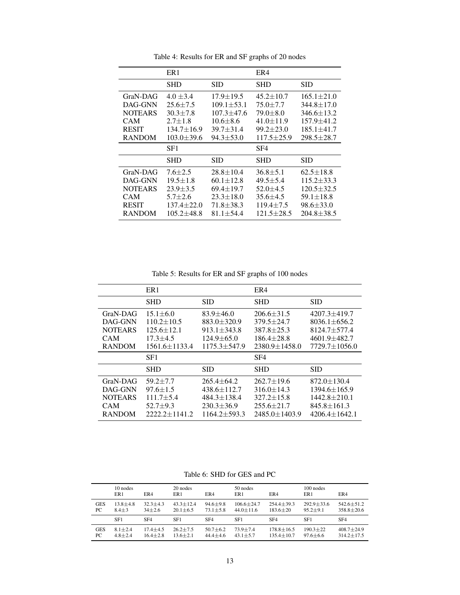<span id="page-12-0"></span>

|                | ER <sub>1</sub>  |                  | ER4              |                  |
|----------------|------------------|------------------|------------------|------------------|
|                | SHD              | SID              | SHD              | SID              |
| GraN-DAG       | $4.0 \pm 3.4$    | $17.9 \pm 19.5$  | $45.2 \pm 10.7$  | $165.1 \pm 21.0$ |
| DAG-GNN        | $25.6 \pm 7.5$   | $109.1 \pm 53.1$ | $75.0 + 7.7$     | $344.8 \pm 17.0$ |
| <b>NOTEARS</b> | $30.3 \pm 7.8$   | $107.3 + 47.6$   | $79.0 \pm 8.0$   | $346.6 \pm 13.2$ |
| <b>CAM</b>     | $2.7 + 1.8$      | $10.6 + 8.6$     | $41.0 \pm 11.9$  | 157.9±41.2       |
| <b>RESIT</b>   | $134.7 \pm 16.9$ | $39.7 + 31.4$    | $99.2 + 23.0$    | $185.1 \pm 41.7$ |
| <b>RANDOM</b>  | $103.0 \pm 39.6$ | $94.3 \pm 53.0$  | $117.5 \pm 25.9$ | $298.5 \pm 28.7$ |
|                |                  |                  |                  |                  |
|                | SF1              |                  | SF4              |                  |
|                | SHD              | SID              | SHD              | SID              |
| GraN-DAG       | $7.6 + 2.5$      | $28.8 \pm 10.4$  | $36.8 \pm 5.1$   | $62.5 \pm 18.8$  |
| DAG-GNN        | $19.5 \pm 1.8$   | $60.1 \pm 12.8$  | $49.5 + 5.4$     | $115.2 \pm 33.3$ |
| <b>NOTEARS</b> | $23.9 \pm 3.5$   | $69.4 \pm 19.7$  | $52.0 \pm 4.5$   | $120.5 \pm 32.5$ |
| CAM            | $5.7 + 2.6$      | $23.3 \pm 18.0$  | $35.6 + 4.5$     | $59.1 \pm 18.8$  |
| <b>RESIT</b>   | $137.4 \pm 22.0$ | $71.8 + 38.3$    | $119.4 \pm 7.5$  | $98.6 \pm 33.0$  |

Table 4: Results for ER and SF graphs of 20 nodes

Table 5: Results for ER and SF graphs of 100 nodes

<span id="page-12-1"></span>

|                                                                      | ER <sub>1</sub>                                                                               |                                                                                                     | ER4                                                                                                 |                                                                                                           |  |
|----------------------------------------------------------------------|-----------------------------------------------------------------------------------------------|-----------------------------------------------------------------------------------------------------|-----------------------------------------------------------------------------------------------------|-----------------------------------------------------------------------------------------------------------|--|
|                                                                      | <b>SHD</b>                                                                                    | <b>SID</b>                                                                                          | <b>SHD</b>                                                                                          | <b>SID</b>                                                                                                |  |
| GraN-DAG<br>DAG-GNN<br><b>NOTEARS</b><br><b>CAM</b><br><b>RANDOM</b> | $15.1 \pm 6.0$<br>$110.2 \pm 10.5$<br>$125.6 \pm 12.1$<br>$17.3 + 4.5$<br>$1561.6 \pm 1133.4$ | $83.9 \pm 46.0$<br>$883.0 \pm 320.9$<br>$913.1 \pm 343.8$<br>$124.9 \pm 65.0$<br>$1175.3 \pm 547.9$ | $206.6 \pm 31.5$<br>$379.5 + 24.7$<br>$387.8 \pm 25.3$<br>$186.4 \pm 28.8$<br>$2380.9 \pm 1458.0$   | $4207.3 \pm 419.7$<br>$8036.1 \pm 656.2$<br>$8124.7 \pm 577.4$<br>4601.9±482.7<br>$7729.7 \pm 1056.0$     |  |
|                                                                      | SF1                                                                                           |                                                                                                     | SF <sub>4</sub>                                                                                     |                                                                                                           |  |
|                                                                      | <b>SHD</b>                                                                                    | <b>SID</b>                                                                                          | <b>SHD</b>                                                                                          | <b>SID</b>                                                                                                |  |
| GraN-DAG<br>DAG-GNN<br><b>NOTEARS</b><br><b>CAM</b><br><b>RANDOM</b> | $59.2 + 7.7$<br>$97.6 \pm 1.5$<br>$111.7 \pm 5.4$<br>$52.7 \pm 9.3$<br>$2222.2 \pm 1141.2$    | $265.4 + 64.2$<br>$438.6 \pm 112.7$<br>$484.3 \pm 138.4$<br>$230.3 + 36.9$<br>$1164.2 + 593.3$      | $262.7 \pm 19.6$<br>$316.0 \pm 14.3$<br>$327.2 \pm 15.8$<br>$255.6 \pm 21.7$<br>$2485.0 \pm 1403.9$ | $872.0 \pm 130.4$<br>$1394.6 \pm 165.9$<br>$1442.8 \pm 210.1$<br>$845.8 \pm 161.3$<br>$4206.4 \pm 1642.1$ |  |

Table 6: SHD for GES and PC

<span id="page-12-2"></span>

|            | 10 nodes<br>ER1 | ER4             | 20 nodes<br>ER1 | ER4             | 50 nodes<br>ER <sub>1</sub> | ER4             | $100$ nodes<br>ER1 | ER4              |
|------------|-----------------|-----------------|-----------------|-----------------|-----------------------------|-----------------|--------------------|------------------|
| <b>GES</b> | $13.8 \pm 4.8$  | $32.3 \pm 4.3$  | $43.3 + 12.4$   | $94.6 \pm 9.8$  | $106.6 \pm 24.7$            | $254.4 + 39.3$  | $292.9 + 33.6$     | $542.6 + 51.2$   |
| PC         | $8.4 + 3$       | $34 + 2.6$      | $20.1 \pm 6.5$  | $73.1 \pm 5.8$  | $44.0 + 11.6$               | $183.6 + 20$    | $95.2 + 9.1$       | $358.8 + 20.6$   |
|            | SF1             | SF <sub>4</sub> | SF1             | SF <sub>4</sub> | SF1                         | SF <sub>4</sub> | SF1                | SF <sub>4</sub>  |
| <b>GES</b> | $8.1 + 2.4$     | $17.4 + 4.5$    | $26.2 + 7.5$    | $50.7 \pm 6.2$  | $73.9 + 7.4$                | $178.8 + 16.5$  | $190.3 + 22$       | $408.7 + 24.9$   |
| PC         | $4.8 + 2.4$     | $16.4 \pm 2.8$  | $13.6 + 2.1$    | $44.4 \pm 4.6$  | $43.1 + 5.7$                | $135.4 + 10.7$  | $97.6 + 6.6$       | $314.2 \pm 17.5$ |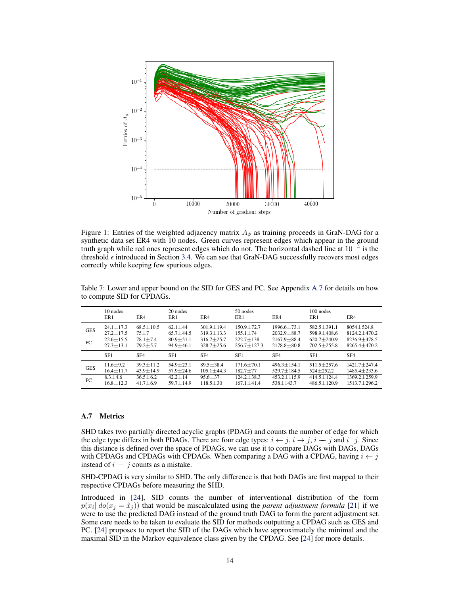

Figure 1: Entries of the weighted adjacency matrix  $A_{\phi}$  as training proceeds in GraN-DAG for a synthetic data set ER4 with 10 nodes. Green curves represent edges which appear in the ground truth graph while red ones represent edges which do not. The horizontal dashed line at  $10^{-4}$  is the threshold  $\epsilon$  introduced in Section [3.4.](#page-4-2) We can see that GraN-DAG successfully recovers most edges correctly while keeping few spurious edges.

|            | 10 nodes<br>ER <sub>1</sub> | ER4             | 20 nodes<br>ER1 | ER4              | 50 nodes<br>ER1 | ER4               | $100$ nodes<br>ER <sub>1</sub> | ER4                |
|------------|-----------------------------|-----------------|-----------------|------------------|-----------------|-------------------|--------------------------------|--------------------|
| <b>GES</b> | $24.1 \pm 17.3$             | $68.5 + 10.5$   | $62.1 \pm 44$   | $301.9 + 19.4$   | $150.9 + 72.7$  | $1996.6 + 73.1$   | $582.5 + 391.1$                | $8054 + 524.8$     |
|            | $27.2 \pm 17.5$             | $75 + 7$        | $65.7 \pm 44.5$ | $319.3 \pm 13.3$ | $155.1 \pm 74$  | $2032.9 \pm 88.7$ | $598.9 \pm 408.6$              | $8124.2 \pm 470.2$ |
| PC.        | $22.6 \pm 15.5$             | $78.1 \pm 7.4$  | $80.9 \pm 51.1$ | $316.7 + 25.7$   | $222.7 + 138$   | $2167.9 + 88.4$   | $620.7 + 240.9$                | $8236.9 + 478.5$   |
|            | $27.3 \pm 13.1$             | $79.2 + 5.7$    | $94.9 + 46.1$   | $328.7 + 25.6$   | $256.7 + 127.3$ | $2178.8 + 80.8$   | $702.5 + 255.8$                | $8265.4 + 470.2$   |
|            | SF1                         | SF <sub>4</sub> | SF1             | SF <sub>4</sub>  | SF1             | SF <sub>4</sub>   | SF1                            | SF <sub>4</sub>    |
| <b>GES</b> | $11.6 \pm 9.2$              | $39.3 + 11.2$   | $54.9 \pm 23.1$ | $89.5 + 38.4$    | $171.6 + 70.1$  | $496.3 + 154.1$   | $511.5 + 257.6$                | $1421.7 + 247.4$   |
|            | $16.4 \pm 11.7$             | $43.9 + 14.9$   | $57.9 \pm 24.6$ | $105.1 \pm 44.3$ | $182.7 \pm 77$  | $529.7 \pm 184.5$ | $524 + 252.2$                  | $1485.4 \pm 233.6$ |
| PC         | $8.3 + 4.6$                 | $36.5 + 6.2$    | $42.2 + 14$     | $95.6 \pm 37$    | $124.2 + 38.3$  | $453.2 + 115.9$   | $414.5 + 124.4$                | $1369.2 + 259.9$   |
|            | $16.8 + 12.3$               | $41.7 + 6.9$    | $59.7 + 14.9$   | $118.5 + 30$     | $167.1 + 41.4$  | $538 + 143.7$     | $486.5 + 120.9$                | $1513.7 \pm 296.2$ |

<span id="page-13-1"></span>Table 7: Lower and upper bound on the SID for GES and PC. See Appendix [A.7](#page-13-0) for details on how to compute SID for CPDAGs.

# <span id="page-13-0"></span>A.7 Metrics

SHD takes two partially directed acyclic graphs (PDAG) and counts the number of edge for which the edge type differs in both PDAGs. There are four edge types:  $i \leftarrow j$ ,  $i \rightarrow j$ ,  $i - j$  and  $i$  j. Since this distance is defined over the space of PDAGs, we can use it to compare DAGs with DAGs, DAGs with CPDAGs and CPDAGs with CPDAGs. When comparing a DAG with a CPDAG, having  $i \leftarrow j$ instead of  $i - j$  counts as a mistake.

SHD-CPDAG is very similar to SHD. The only difference is that both DAGs are first mapped to their respective CPDAGs before measuring the SHD.

Introduced in [\[24\]](#page-9-17), SID counts the number of interventional distribution of the form  $p(x_i | do(x_j = \hat{x}_j))$  that would be miscalculated using the *parent adjustment formula* [\[21\]](#page-9-2) if we were to use the predicted DAG instead of the ground truth DAG to form the parent adjustment set. Some care needs to be taken to evaluate the SID for methods outputting a CPDAG such as GES and PC. [\[24\]](#page-9-17) proposes to report the SID of the DAGs which have approximately the minimal and the maximal SID in the Markov equivalence class given by the CPDAG. See [\[24\]](#page-9-17) for more details.